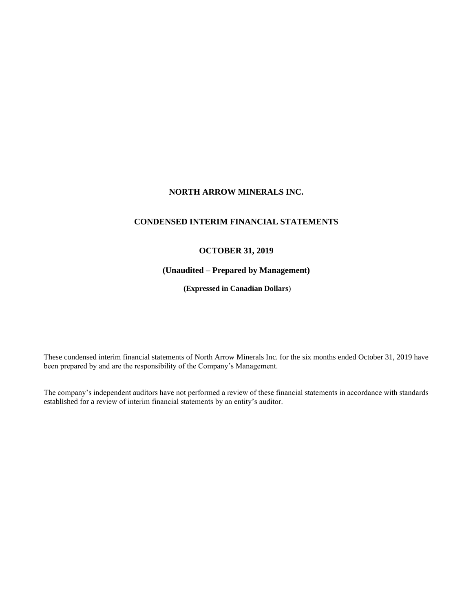## **NORTH ARROW MINERALS INC.**

# **CONDENSED INTERIM FINANCIAL STATEMENTS**

## **OCTOBER 31, 2019**

## **(Unaudited – Prepared by Management)**

**(Expressed in Canadian Dollars**)

These condensed interim financial statements of North Arrow Minerals Inc. for the six months ended October 31, 2019 have been prepared by and are the responsibility of the Company's Management.

The company's independent auditors have not performed a review of these financial statements in accordance with standards established for a review of interim financial statements by an entity's auditor.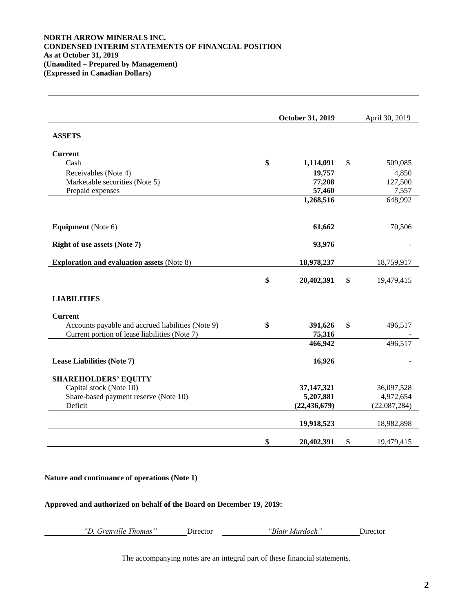## **NORTH ARROW MINERALS INC. CONDENSED INTERIM STATEMENTS OF FINANCIAL POSITION As at October 31, 2019 (Unaudited – Prepared by Management) (Expressed in Canadian Dollars)**

|                                                   | October 31, 2019 |                |    | April 30, 2019 |
|---------------------------------------------------|------------------|----------------|----|----------------|
| <b>ASSETS</b>                                     |                  |                |    |                |
| <b>Current</b>                                    |                  |                |    |                |
| Cash                                              | \$               | 1,114,091      | \$ | 509,085        |
| Receivables (Note 4)                              |                  | 19,757         |    | 4,850          |
| Marketable securities (Note 5)                    |                  | 77,208         |    | 127,500        |
| Prepaid expenses                                  |                  | 57,460         |    | 7,557          |
|                                                   |                  | 1,268,516      |    | 648,992        |
| <b>Equipment</b> (Note 6)                         |                  | 61,662         |    | 70,506         |
| <b>Right of use assets (Note 7)</b>               |                  | 93,976         |    |                |
| <b>Exploration and evaluation assets (Note 8)</b> |                  | 18,978,237     |    | 18,759,917     |
|                                                   | \$               | 20,402,391     | \$ | 19,479,415     |
| <b>LIABILITIES</b>                                |                  |                |    |                |
| <b>Current</b>                                    |                  |                |    |                |
| Accounts payable and accrued liabilities (Note 9) | \$               | 391,626        | \$ | 496,517        |
| Current portion of lease liabilities (Note 7)     |                  | 75,316         |    |                |
|                                                   |                  | 466,942        |    | 496,517        |
| Lease Liabilities (Note 7)                        |                  | 16,926         |    |                |
| <b>SHAREHOLDERS' EQUITY</b>                       |                  |                |    |                |
| Capital stock (Note 10)                           |                  | 37,147,321     |    | 36,097,528     |
| Share-based payment reserve (Note 10)             |                  | 5,207,881      |    | 4,972,654      |
| Deficit                                           |                  | (22, 436, 679) |    | (22,087,284)   |
|                                                   |                  | 19,918,523     |    | 18,982,898     |
|                                                   | \$               | 20,402,391     | \$ | 19,479,415     |

## **Nature and continuance of operations (Note 1)**

### **Approved and authorized on behalf of the Board on December 19, 2019:**

| "D. Grenville Thomas" | Director | "Blair Murdoch" | Director |
|-----------------------|----------|-----------------|----------|
|                       |          |                 |          |

The accompanying notes are an integral part of these financial statements.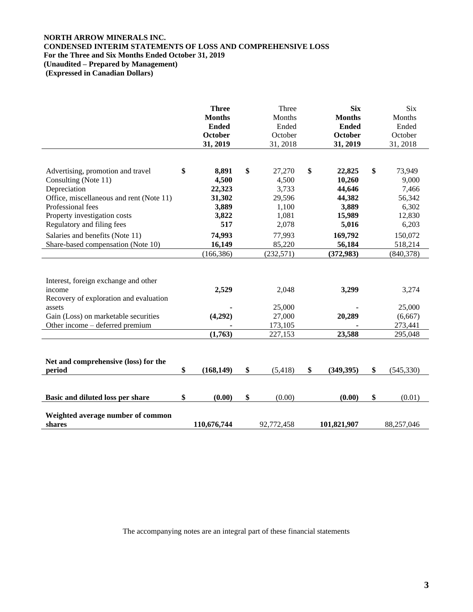# **NORTH ARROW MINERALS INC. CONDENSED INTERIM STATEMENTS OF LOSS AND COMPREHENSIVE LOSS For the Three and Six Months Ended October 31, 2019 (Unaudited – Prepared by Management)**

**(Expressed in Canadian Dollars)**

|                                                                                                                                                                               | <b>Three</b><br><b>Months</b><br><b>Ended</b><br><b>October</b><br>31, 2019 | Three<br>Months<br>Ended<br>October<br>31, 2018 | <b>Six</b><br><b>Months</b><br><b>Ended</b><br>October<br>31, 2019 | <b>Six</b><br>Months<br>Ended<br>October<br>31, 2018 |
|-------------------------------------------------------------------------------------------------------------------------------------------------------------------------------|-----------------------------------------------------------------------------|-------------------------------------------------|--------------------------------------------------------------------|------------------------------------------------------|
| Advertising, promotion and travel<br>Consulting (Note 11)<br>Depreciation                                                                                                     | \$<br>8,891<br>4,500<br>22,323                                              | \$<br>27,270<br>4,500<br>3,733                  | \$<br>22,825<br>10,260<br>44,646                                   | \$<br>73,949<br>9,000<br>7,466                       |
| Office, miscellaneous and rent (Note 11)<br>Professional fees                                                                                                                 | 31,302<br>3,889                                                             | 29,596<br>1,100                                 | 44,382<br>3,889                                                    | 56,342<br>6,302                                      |
| Property investigation costs<br>Regulatory and filing fees                                                                                                                    | 3,822<br>517                                                                | 1,081<br>2,078                                  | 15,989<br>5,016                                                    | 12,830<br>6,203                                      |
| Salaries and benefits (Note 11)                                                                                                                                               | 74,993                                                                      | 77,993                                          | 169,792                                                            | 150,072                                              |
| Share-based compensation (Note 10)                                                                                                                                            | 16,149<br>(166, 386)                                                        | 85,220<br>(232, 571)                            | 56,184<br>(372, 983)                                               | 518,214<br>(840, 378)                                |
| Interest, foreign exchange and other<br>income<br>Recovery of exploration and evaluation<br>assets<br>Gain (Loss) on marketable securities<br>Other income – deferred premium | 2,529<br>(4,292)<br>(1,763)                                                 | 2,048<br>25,000<br>27,000<br>173,105<br>227,153 | 3,299<br>20,289<br>23,588                                          | 3,274<br>25,000<br>(6,667)<br>273,441<br>295,048     |
| Net and comprehensive (loss) for the<br>period                                                                                                                                | \$<br>(168, 149)                                                            | \$<br>(5, 418)                                  | \$<br>(349, 395)                                                   | \$<br>(545, 330)                                     |
| Basic and diluted loss per share                                                                                                                                              | \$<br>(0.00)                                                                | \$<br>(0.00)                                    | (0.00)                                                             | \$<br>(0.01)                                         |
| Weighted average number of common<br>shares                                                                                                                                   | 110,676,744                                                                 | 92,772,458                                      | 101,821,907                                                        | 88,257,046                                           |

The accompanying notes are an integral part of these financial statements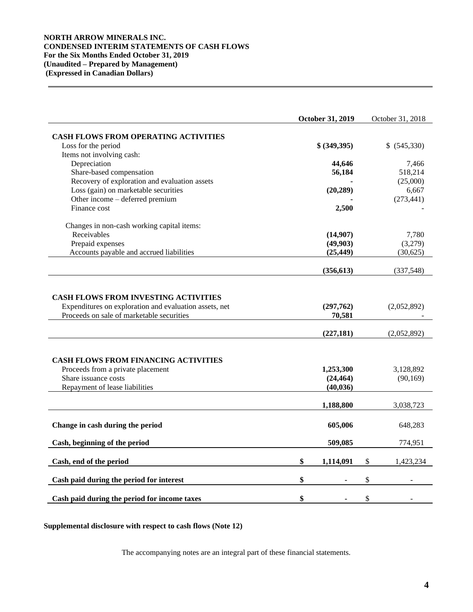## **NORTH ARROW MINERALS INC. CONDENSED INTERIM STATEMENTS OF CASH FLOWS For the Six Months Ended October 31, 2019 (Unaudited – Prepared by Management) (Expressed in Canadian Dollars)**

|                                                                                                                                                    | October 31, 2019                    | October 31, 2018           |
|----------------------------------------------------------------------------------------------------------------------------------------------------|-------------------------------------|----------------------------|
| <b>CASH FLOWS FROM OPERATING ACTIVITIES</b>                                                                                                        |                                     |                            |
| Loss for the period                                                                                                                                | \$ (349,395)                        | \$ (545,330)               |
| Items not involving cash:                                                                                                                          |                                     |                            |
| Depreciation                                                                                                                                       | 44,646                              | 7,466                      |
| Share-based compensation                                                                                                                           | 56,184                              | 518,214                    |
| Recovery of exploration and evaluation assets                                                                                                      |                                     | (25,000)                   |
| Loss (gain) on marketable securities                                                                                                               | (20, 289)                           | 6,667                      |
| Other income – deferred premium                                                                                                                    |                                     | (273, 441)                 |
| Finance cost                                                                                                                                       | 2,500                               |                            |
| Changes in non-cash working capital items:                                                                                                         |                                     |                            |
| Receivables                                                                                                                                        | (14,907)                            | 7,780                      |
| Prepaid expenses                                                                                                                                   | (49,903)                            | (3,279)                    |
| Accounts payable and accrued liabilities                                                                                                           | (25, 449)                           | (30, 625)                  |
|                                                                                                                                                    | (356, 613)                          | (337,548)                  |
| <b>CASH FLOWS FROM INVESTING ACTIVITIES</b><br>Expenditures on exploration and evaluation assets, net<br>Proceeds on sale of marketable securities | (297,762)<br>70,581<br>(227, 181)   | (2,052,892)<br>(2,052,892) |
|                                                                                                                                                    |                                     |                            |
| <b>CASH FLOWS FROM FINANCING ACTIVITIES</b><br>Proceeds from a private placement<br>Share issuance costs<br>Repayment of lease liabilities         | 1,253,300<br>(24, 464)<br>(40, 036) | 3,128,892<br>(90, 169)     |
|                                                                                                                                                    |                                     |                            |
|                                                                                                                                                    | 1,188,800                           | 3,038,723                  |
| Change in cash during the period                                                                                                                   | 605,006                             | 648,283                    |
| Cash, beginning of the period                                                                                                                      | 509,085                             | 774,951                    |
| Cash, end of the period                                                                                                                            | \$<br>1,114,091                     | \$<br>1,423,234            |
| Cash paid during the period for interest                                                                                                           | \$                                  | \$                         |
|                                                                                                                                                    |                                     |                            |
| Cash paid during the period for income taxes                                                                                                       | \$                                  | \$                         |

**Supplemental disclosure with respect to cash flows (Note 12)**

The accompanying notes are an integral part of these financial statements.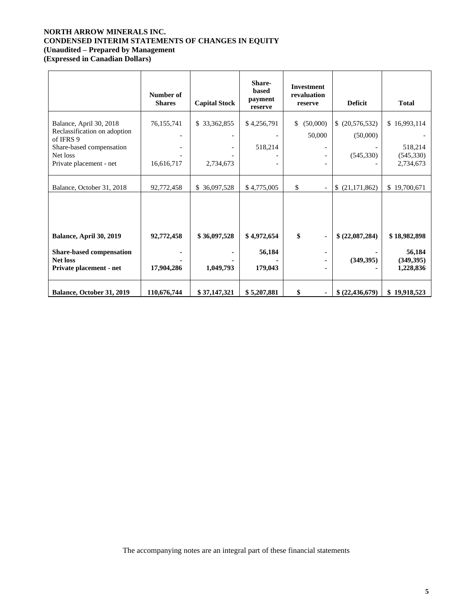# **NORTH ARROW MINERALS INC. CONDENSED INTERIM STATEMENTS OF CHANGES IN EQUITY (Unaudited – Prepared by Management**

**(Expressed in Canadian Dollars)**

|                                                                               | Number of<br><b>Shares</b> | <b>Capital Stock</b>                      | Share-<br>based<br>payment<br>reserve | <b>Investment</b><br>revaluation<br>reserve                                      | <b>Deficit</b>             | <b>Total</b>                      |
|-------------------------------------------------------------------------------|----------------------------|-------------------------------------------|---------------------------------------|----------------------------------------------------------------------------------|----------------------------|-----------------------------------|
| Balance, April 30, 2018<br>Reclassification on adoption<br>of IFRS 9          | 76,155,741                 | \$33,362,855<br>$\overline{\phantom{a}}$  | \$4,256,791                           | (50,000)<br>\$<br>50,000                                                         | (20, 576, 532)<br>(50,000) | \$16,993,114<br>518,214           |
| Share-based compensation<br>Net loss<br>Private placement - net               | 16,616,717                 | $\qquad \qquad \blacksquare$<br>2,734,673 | 518,214                               | $\overline{\phantom{a}}$<br>$\overline{\phantom{a}}$<br>$\overline{\phantom{a}}$ | (545,330)                  | (545, 330)<br>2,734,673           |
| Balance, October 31, 2018                                                     | 92,772,458                 | 36,097,528<br>\$                          | \$4,775,005                           | \$<br>$\overline{\phantom{a}}$                                                   | (21, 171, 862)<br>\$       | \$19,700,671                      |
| Balance, April 30, 2019                                                       | 92,772,458                 | \$36,097,528                              | \$4,972,654                           | \$<br>٠                                                                          | \$ (22,087,284)            | \$18,982,898                      |
| <b>Share-based compensation</b><br><b>Net loss</b><br>Private placement - net | 17,904,286                 | 1,049,793                                 | 56,184<br>179,043                     | ۰<br>٠<br>٠                                                                      | (349, 395)                 | 56,184<br>(349, 395)<br>1,228,836 |
| Balance, October 31, 2019                                                     | 110,676,744                | \$37,147,321                              | \$5,207,881                           | \$<br>$\blacksquare$                                                             | \$ (22,436,679)            | \$19,918,523                      |

The accompanying notes are an integral part of these financial statements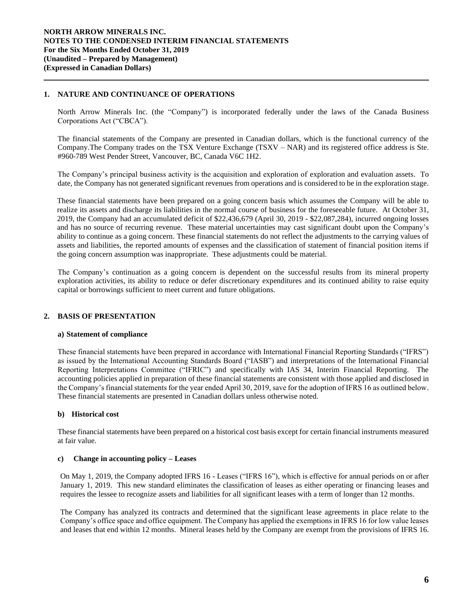## **1. NATURE AND CONTINUANCE OF OPERATIONS**

North Arrow Minerals Inc. (the "Company") is incorporated federally under the laws of the Canada Business Corporations Act ("CBCA").

The financial statements of the Company are presented in Canadian dollars, which is the functional currency of the Company.The Company trades on the TSX Venture Exchange (TSXV – NAR) and its registered office address is Ste. #960-789 West Pender Street, Vancouver, BC, Canada V6C 1H2.

The Company's principal business activity is the acquisition and exploration of exploration and evaluation assets. To date, the Company has not generated significant revenues from operations and is considered to be in the exploration stage.

These financial statements have been prepared on a going concern basis which assumes the Company will be able to realize its assets and discharge its liabilities in the normal course of business for the foreseeable future. At October 31, 2019, the Company had an accumulated deficit of \$22,436,679 (April 30, 2019 - \$22,087,284), incurred ongoing losses and has no source of recurring revenue. These material uncertainties may cast significant doubt upon the Company's ability to continue as a going concern. These financial statements do not reflect the adjustments to the carrying values of assets and liabilities, the reported amounts of expenses and the classification of statement of financial position items if the going concern assumption was inappropriate. These adjustments could be material.

The Company's continuation as a going concern is dependent on the successful results from its mineral property exploration activities, its ability to reduce or defer discretionary expenditures and its continued ability to raise equity capital or borrowings sufficient to meet current and future obligations.

## **2. BASIS OF PRESENTATION**

### **a) Statement of compliance**

These financial statements have been prepared in accordance with International Financial Reporting Standards ("IFRS") as issued by the International Accounting Standards Board ("IASB") and interpretations of the International Financial Reporting Interpretations Committee ("IFRIC") and specifically with IAS 34, Interim Financial Reporting. The accounting policies applied in preparation of these financial statements are consistent with those applied and disclosed in the Company's financial statements for the year ended April 30, 2019, save for the adoption of IFRS 16 as outlined below. These financial statements are presented in Canadian dollars unless otherwise noted.

### **b) Historical cost**

These financial statements have been prepared on a historical cost basis except for certain financial instruments measured at fair value.

### **c) Change in accounting policy – Leases**

On May 1, 2019, the Company adopted IFRS 16 - Leases ("IFRS 16"), which is effective for annual periods on or after January 1, 2019. This new standard eliminates the classification of leases as either operating or financing leases and requires the lessee to recognize assets and liabilities for all significant leases with a term of longer than 12 months.

The Company has analyzed its contracts and determined that the significant lease agreements in place relate to the Company's office space and office equipment. The Company has applied the exemptions in IFRS 16 for low value leases and leases that end within 12 months. Mineral leases held by the Company are exempt from the provisions of IFRS 16.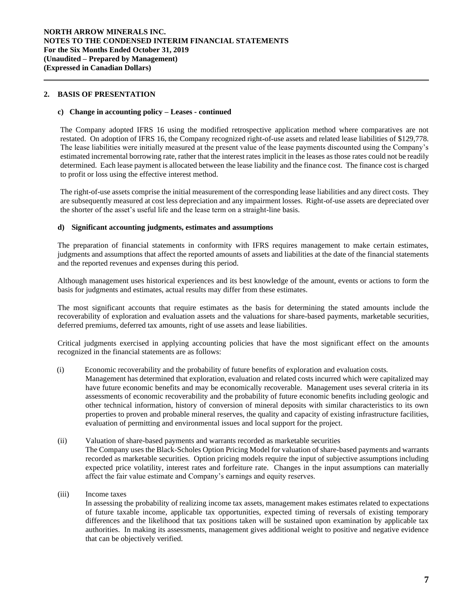### **2. BASIS OF PRESENTATION**

### **c) Change in accounting policy – Leases - continued**

The Company adopted IFRS 16 using the modified retrospective application method where comparatives are not restated. On adoption of IFRS 16, the Company recognized right-of-use assets and related lease liabilities of \$129,778. The lease liabilities were initially measured at the present value of the lease payments discounted using the Company's estimated incremental borrowing rate, rather that the interest rates implicit in the leases as those rates could not be readily determined. Each lease payment is allocated between the lease liability and the finance cost. The finance cost is charged to profit or loss using the effective interest method.

The right-of-use assets comprise the initial measurement of the corresponding lease liabilities and any direct costs. They are subsequently measured at cost less depreciation and any impairment losses. Right-of-use assets are depreciated over the shorter of the asset's useful life and the lease term on a straight-line basis.

### **d) Significant accounting judgments, estimates and assumptions**

The preparation of financial statements in conformity with IFRS requires management to make certain estimates, judgments and assumptions that affect the reported amounts of assets and liabilities at the date of the financial statements and the reported revenues and expenses during this period.

Although management uses historical experiences and its best knowledge of the amount, events or actions to form the basis for judgments and estimates, actual results may differ from these estimates.

The most significant accounts that require estimates as the basis for determining the stated amounts include the recoverability of exploration and evaluation assets and the valuations for share-based payments, marketable securities, deferred premiums, deferred tax amounts, right of use assets and lease liabilities.

Critical judgments exercised in applying accounting policies that have the most significant effect on the amounts recognized in the financial statements are as follows:

(i) Economic recoverability and the probability of future benefits of exploration and evaluation costs*.* 

Management has determined that exploration, evaluation and related costs incurred which were capitalized may have future economic benefits and may be economically recoverable. Management uses several criteria in its assessments of economic recoverability and the probability of future economic benefits including geologic and other technical information, history of conversion of mineral deposits with similar characteristics to its own properties to proven and probable mineral reserves, the quality and capacity of existing infrastructure facilities, evaluation of permitting and environmental issues and local support for the project.

- (ii) Valuation of share-based payments and warrants recorded as marketable securities The Company uses the Black-Scholes Option Pricing Model for valuation of share-based payments and warrants recorded as marketable securities. Option pricing models require the input of subjective assumptions including expected price volatility, interest rates and forfeiture rate. Changes in the input assumptions can materially affect the fair value estimate and Company's earnings and equity reserves.
- (iii) Income taxes

In assessing the probability of realizing income tax assets, management makes estimates related to expectations of future taxable income, applicable tax opportunities, expected timing of reversals of existing temporary differences and the likelihood that tax positions taken will be sustained upon examination by applicable tax authorities. In making its assessments, management gives additional weight to positive and negative evidence that can be objectively verified.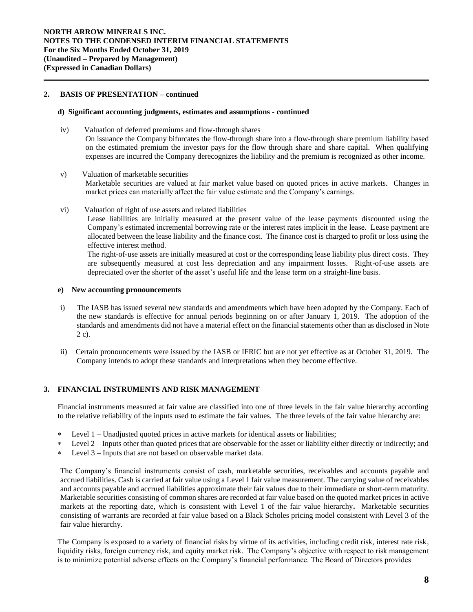## **2. BASIS OF PRESENTATION – continued**

### **d) Significant accounting judgments, estimates and assumptions** *-* **continued**

- iv) Valuation of deferred premiums and flow-through shares On issuance the Company bifurcates the flow-through share into a flow-through share premium liability based on the estimated premium the investor pays for the flow through share and share capital. When qualifying expenses are incurred the Company derecognizes the liability and the premium is recognized as other income.
- v) Valuation of marketable securities Marketable securities are valued at fair market value based on quoted prices in active markets. Changes in market prices can materially affect the fair value estimate and the Company's earnings.
- vi) Valuation of right of use assets and related liabilities

Lease liabilities are initially measured at the present value of the lease payments discounted using the Company's estimated incremental borrowing rate or the interest rates implicit in the lease. Lease payment are allocated between the lease liability and the finance cost. The finance cost is charged to profit or loss using the effective interest method.

The right-of-use assets are initially measured at cost or the corresponding lease liability plus direct costs. They are subsequently measured at cost less depreciation and any impairment losses. Right-of-use assets are depreciated over the shorter of the asset's useful life and the lease term on a straight-line basis.

### **e) New accounting pronouncements**

- i) The IASB has issued several new standards and amendments which have been adopted by the Company. Each of the new standards is effective for annual periods beginning on or after January 1, 2019. The adoption of the standards and amendments did not have a material effect on the financial statements other than as disclosed in Note 2 c).
- ii) Certain pronouncements were issued by the IASB or IFRIC but are not yet effective as at October 31, 2019. The Company intends to adopt these standards and interpretations when they become effective.

## **3. FINANCIAL INSTRUMENTS AND RISK MANAGEMENT**

Financial instruments measured at fair value are classified into one of three levels in the fair value hierarchy according to the relative reliability of the inputs used to estimate the fair values. The three levels of the fair value hierarchy are:

- Level 1 Unadjusted quoted prices in active markets for identical assets or liabilities;
- Level 2 Inputs other than quoted prices that are observable for the asset or liability either directly or indirectly; and
- Level 3 Inputs that are not based on observable market data.

The Company's financial instruments consist of cash, marketable securities, receivables and accounts payable and accrued liabilities. Cash is carried at fair value using a Level 1 fair value measurement. The carrying value of receivables and accounts payable and accrued liabilities approximate their fair values due to their immediate or short-term maturity. Marketable securities consisting of common shares are recorded at fair value based on the quoted market prices in active markets at the reporting date, which is consistent with Level 1 of the fair value hierarchy**.** Marketable securities consisting of warrants are recorded at fair value based on a Black Scholes pricing model consistent with Level 3 of the fair value hierarchy.

The Company is exposed to a variety of financial risks by virtue of its activities, including credit risk, interest rate risk, liquidity risks, foreign currency risk, and equity market risk. The Company's objective with respect to risk management is to minimize potential adverse effects on the Company's financial performance. The Board of Directors provides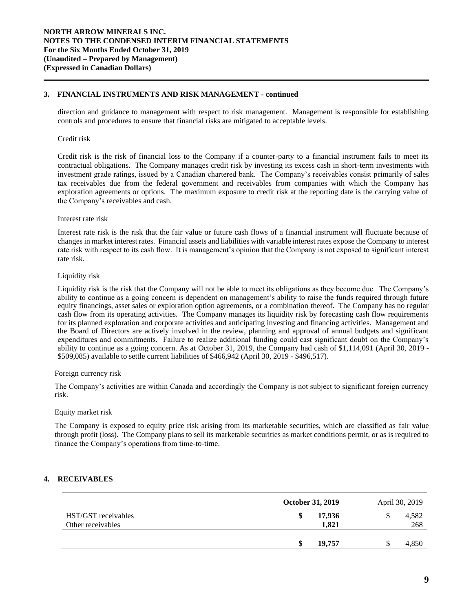## **3. FINANCIAL INSTRUMENTS AND RISK MANAGEMENT - continued**

direction and guidance to management with respect to risk management. Management is responsible for establishing controls and procedures to ensure that financial risks are mitigated to acceptable levels.

### Credit risk

Credit risk is the risk of financial loss to the Company if a counter-party to a financial instrument fails to meet its contractual obligations. The Company manages credit risk by investing its excess cash in short-term investments with investment grade ratings, issued by a Canadian chartered bank. The Company's receivables consist primarily of sales tax receivables due from the federal government and receivables from companies with which the Company has exploration agreements or options. The maximum exposure to credit risk at the reporting date is the carrying value of the Company's receivables and cash.

### Interest rate risk

Interest rate risk is the risk that the fair value or future cash flows of a financial instrument will fluctuate because of changes in market interest rates. Financial assets and liabilities with variable interest rates expose the Company to interest rate risk with respect to its cash flow. It is management's opinion that the Company is not exposed to significant interest rate risk.

### Liquidity risk

Liquidity risk is the risk that the Company will not be able to meet its obligations as they become due. The Company's ability to continue as a going concern is dependent on management's ability to raise the funds required through future equity financings, asset sales or exploration option agreements, or a combination thereof. The Company has no regular cash flow from its operating activities. The Company manages its liquidity risk by forecasting cash flow requirements for its planned exploration and corporate activities and anticipating investing and financing activities. Management and the Board of Directors are actively involved in the review, planning and approval of annual budgets and significant expenditures and commitments. Failure to realize additional funding could cast significant doubt on the Company's ability to continue as a going concern. As at October 31, 2019, the Company had cash of \$1,114,091 (April 30, 2019 - \$509,085) available to settle current liabilities of \$466,942 (April 30, 2019 - \$496,517).

### Foreign currency risk

The Company's activities are within Canada and accordingly the Company is not subject to significant foreign currency risk.

### Equity market risk

The Company is exposed to equity price risk arising from its marketable securities, which are classified as fair value through profit (loss). The Company plans to sell its marketable securities as market conditions permit, or as is required to finance the Company's operations from time-to-time.

## **4. RECEIVABLES**

|                                          | October 31, 2019 | April 30, 2019 |
|------------------------------------------|------------------|----------------|
| HST/GST receivables<br>Other receivables | 17.936<br>1,821  | 4,582<br>268   |
|                                          | 19,757           | 4,850          |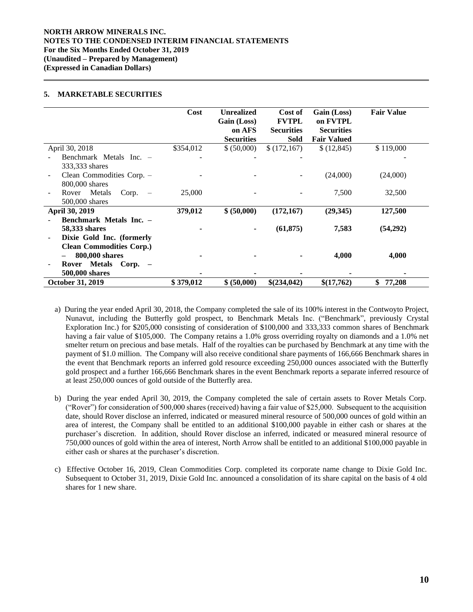### **NORTH ARROW MINERALS INC. NOTES TO THE CONDENSED INTERIM FINANCIAL STATEMENTS For the Six Months Ended October 31, 2019 (Unaudited – Prepared by Management) (Expressed in Canadian Dollars)**

## **5. MARKETABLE SECURITIES**

|                                                   | Cost      | <b>Unrealized</b><br>Gain (Loss)<br>on AFS<br><b>Securities</b> | Cost of<br><b>FVTPL</b><br><b>Securities</b><br><b>Sold</b> | Gain (Loss)<br>on FVTPL<br><b>Securities</b><br><b>Fair Valued</b> | <b>Fair Value</b> |
|---------------------------------------------------|-----------|-----------------------------------------------------------------|-------------------------------------------------------------|--------------------------------------------------------------------|-------------------|
| April 30, 2018                                    | \$354,012 | \$ (50,000)                                                     | \$(172,167)                                                 | \$(12, 845)                                                        | \$119,000         |
| Benchmark Metals Inc. -                           |           |                                                                 |                                                             |                                                                    |                   |
| 333,333 shares                                    |           |                                                                 |                                                             |                                                                    |                   |
| Clean Commodities Corp. -                         |           |                                                                 |                                                             | (24,000)                                                           | (24,000)          |
| 800,000 shares                                    |           |                                                                 |                                                             |                                                                    |                   |
| Rover Metals<br>Corp.<br>$\overline{\phantom{a}}$ | 25,000    |                                                                 |                                                             | 7,500                                                              | 32,500            |
| 500,000 shares                                    |           |                                                                 |                                                             |                                                                    |                   |
| April 30, 2019                                    | 379,012   | \$ (50,000)                                                     | (172, 167)                                                  | (29,345)                                                           | 127,500           |
| Benchmark Metals Inc. -                           |           |                                                                 |                                                             |                                                                    |                   |
| 58,333 shares                                     |           |                                                                 | (61, 875)                                                   | 7,583                                                              | (54,292)          |
| Dixie Gold Inc. (formerly                         |           |                                                                 |                                                             |                                                                    |                   |
| <b>Clean Commodities Corp.)</b>                   |           |                                                                 |                                                             |                                                                    |                   |
| 800,000 shares                                    |           |                                                                 |                                                             | 4,000                                                              | 4,000             |
| Rover Metals<br>$Corp. -$                         |           |                                                                 |                                                             |                                                                    |                   |
| 500,000 shares                                    |           |                                                                 |                                                             |                                                                    |                   |
| <b>October 31, 2019</b>                           | \$379,012 | \$ (50,000)                                                     | \$(234,042)                                                 | \$(17,762)                                                         | \$<br>77,208      |

- a) During the year ended April 30, 2018, the Company completed the sale of its 100% interest in the Contwoyto Project, Nunavut, including the Butterfly gold prospect, to Benchmark Metals Inc. ("Benchmark", previously Crystal Exploration Inc.) for \$205,000 consisting of consideration of \$100,000 and 333,333 common shares of Benchmark having a fair value of \$105,000. The Company retains a 1.0% gross overriding royalty on diamonds and a 1.0% net smelter return on precious and base metals. Half of the royalties can be purchased by Benchmark at any time with the payment of \$1.0 million. The Company will also receive conditional share payments of 166,666 Benchmark shares in the event that Benchmark reports an inferred gold resource exceeding 250,000 ounces associated with the Butterfly gold prospect and a further 166,666 Benchmark shares in the event Benchmark reports a separate inferred resource of at least 250,000 ounces of gold outside of the Butterfly area.
- b) During the year ended April 30, 2019, the Company completed the sale of certain assets to Rover Metals Corp. ("Rover") for consideration of 500,000 shares (received) having a fair value of \$25,000. Subsequent to the acquisition date, should Rover disclose an inferred, indicated or measured mineral resource of 500,000 ounces of gold within an area of interest, the Company shall be entitled to an additional \$100,000 payable in either cash or shares at the purchaser's discretion. In addition, should Rover disclose an inferred, indicated or measured mineral resource of 750,000 ounces of gold within the area of interest, North Arrow shall be entitled to an additional \$100,000 payable in either cash or shares at the purchaser's discretion.
- c) Effective October 16, 2019, Clean Commodities Corp. completed its corporate name change to Dixie Gold Inc. Subsequent to October 31, 2019, Dixie Gold Inc. announced a consolidation of its share capital on the basis of 4 old shares for 1 new share.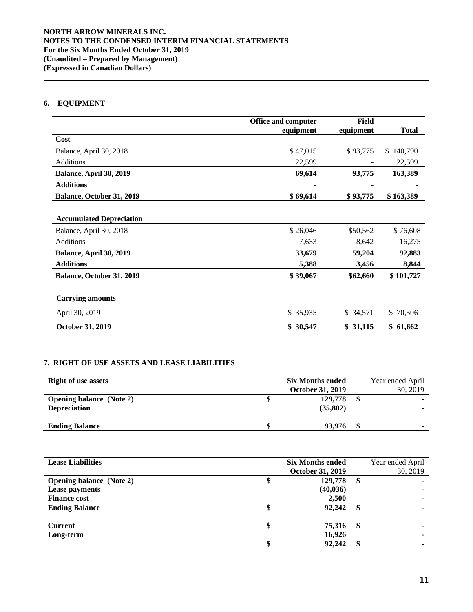# **6. EQUIPMENT**

|                                 | Office and computer<br>equipment | <b>Field</b><br>equipment | <b>Total</b>   |
|---------------------------------|----------------------------------|---------------------------|----------------|
| Cost                            |                                  |                           |                |
| Balance, April 30, 2018         | \$47,015                         | \$93,775                  | 140,790<br>\$. |
| Additions                       | 22,599                           |                           | 22,599         |
| Balance, April 30, 2019         | 69,614                           | 93,775                    | 163,389        |
| <b>Additions</b>                |                                  |                           |                |
| Balance, October 31, 2019       | \$69,614                         | \$93,775                  | \$163,389      |
|                                 |                                  |                           |                |
| <b>Accumulated Depreciation</b> |                                  |                           |                |
| Balance, April 30, 2018         | \$26,046                         | \$50,562                  | \$76,608       |
| Additions                       | 7,633                            | 8,642                     | 16,275         |
| Balance, April 30, 2019         | 33,679                           | 59,204                    | 92,883         |
| <b>Additions</b>                | 5,388                            | 3,456                     | 8,844          |
| Balance, October 31, 2019       | \$39,067                         | \$62,660                  | \$101,727      |
|                                 |                                  |                           |                |
| <b>Carrying amounts</b>         |                                  |                           |                |
| April 30, 2019                  | \$35,935                         | \$34,571                  | 70,506<br>\$   |
| October 31, 2019                | \$30,547                         | \$31,115                  | \$61,662       |

# **7. RIGHT OF USE ASSETS AND LEASE LIABILITIES**

| <b>Right of use assets</b>      | <b>Six Months ended</b> | Year ended April |
|---------------------------------|-------------------------|------------------|
|                                 | <b>October 31, 2019</b> | 30, 2019         |
| <b>Opening balance</b> (Note 2) | 129,778                 |                  |
| <b>Depreciation</b>             | (35,802)                |                  |
|                                 |                         |                  |
| <b>Ending Balance</b>           | 93,976                  |                  |

| <b>Lease Liabilities</b>        | <b>Six Months ended</b> |    | Year ended April |
|---------------------------------|-------------------------|----|------------------|
|                                 | <b>October 31, 2019</b> |    | 30, 2019         |
| <b>Opening balance</b> (Note 2) | 129,778                 | \$ |                  |
| <b>Lease payments</b>           | (40, 036)               |    |                  |
| <b>Finance cost</b>             | 2,500                   |    |                  |
| <b>Ending Balance</b>           | 92,242                  |    |                  |
|                                 |                         |    |                  |
| <b>Current</b>                  | \$<br>75,316            | S  |                  |
| Long-term                       | 16,926                  |    |                  |
|                                 | 92,242                  |    |                  |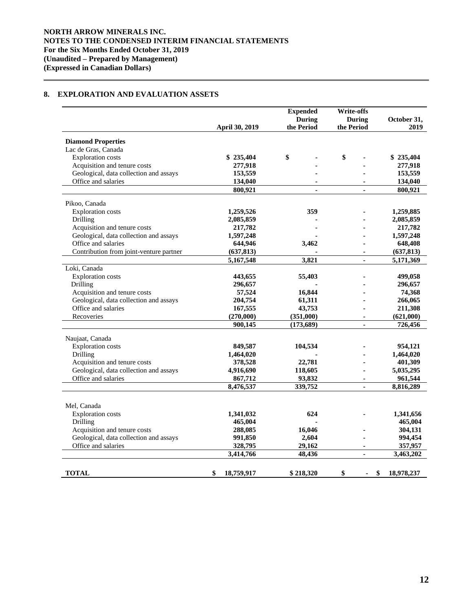# **8. EXPLORATION AND EVALUATION ASSETS**

|                                                               | April 30, 2019       | <b>Expended</b><br><b>During</b><br>the Period | <b>Write-offs</b><br><b>During</b><br>the Period | October 31,<br>2019 |
|---------------------------------------------------------------|----------------------|------------------------------------------------|--------------------------------------------------|---------------------|
| <b>Diamond Properties</b>                                     |                      |                                                |                                                  |                     |
| Lac de Gras, Canada                                           |                      |                                                |                                                  |                     |
| <b>Exploration costs</b>                                      | \$235,404            | \$                                             | \$                                               | \$235,404           |
| Acquisition and tenure costs                                  | 277,918              |                                                |                                                  | 277,918             |
| Geological, data collection and assays                        | 153,559              |                                                |                                                  | 153,559             |
| Office and salaries                                           | 134,040              |                                                |                                                  | 134,040             |
|                                                               | 800,921              | $\blacksquare$                                 | $\blacksquare$                                   | 800,921             |
| Pikoo, Canada                                                 |                      |                                                |                                                  |                     |
| <b>Exploration</b> costs                                      | 1,259,526            | 359                                            |                                                  | 1,259,885           |
| Drilling                                                      | 2,085,859            |                                                |                                                  | 2,085,859           |
| Acquisition and tenure costs                                  | 217,782              |                                                |                                                  | 217,782             |
| Geological, data collection and assays                        | 1,597,248            |                                                |                                                  | 1,597,248           |
| Office and salaries                                           | 644,946              | 3,462                                          |                                                  | 648,408             |
| Contribution from joint-venture partner                       | (637, 813)           |                                                |                                                  | (637, 813)          |
|                                                               | 5,167,548            | 3,821                                          | $\blacksquare$                                   | 5,171,369           |
| Loki, Canada                                                  |                      |                                                |                                                  |                     |
| <b>Exploration</b> costs                                      | 443,655              | 55,403                                         |                                                  | 499,058             |
| Drilling                                                      | 296,657              |                                                |                                                  | 296,657             |
| Acquisition and tenure costs                                  | 57,524               | 16,844                                         |                                                  | 74,368              |
| Geological, data collection and assays                        | 204,754              | 61,311                                         |                                                  | 266,065             |
| Office and salaries                                           | 167,555              | 43,753                                         |                                                  | 211,308             |
| Recoveries                                                    | (270,000)            | (351,000)                                      | $\blacksquare$                                   | (621,000)           |
|                                                               | 900,145              | (173, 689)                                     | ٠                                                | 726,456             |
| Naujaat, Canada                                               |                      |                                                |                                                  |                     |
| <b>Exploration</b> costs                                      | 849,587              | 104,534                                        |                                                  | 954,121             |
| Drilling                                                      | 1,464,020            |                                                |                                                  | 1,464,020           |
| Acquisition and tenure costs                                  | 378,528              | 22,781                                         |                                                  | 401,309             |
| Geological, data collection and assays                        | 4,916,690            | 118,605                                        |                                                  | 5,035,295           |
| Office and salaries                                           | 867,712              | 93,832                                         |                                                  | 961,544             |
|                                                               | 8,476,537            | 339,752                                        |                                                  | 8.816.289           |
|                                                               |                      |                                                |                                                  |                     |
| Mel, Canada                                                   |                      |                                                |                                                  |                     |
| <b>Exploration</b> costs                                      | 1,341,032            | 624                                            |                                                  | 1,341,656           |
| Drilling                                                      | 465,004              |                                                |                                                  | 465,004             |
| Acquisition and tenure costs                                  | 288,085              | 16,046                                         |                                                  | 304,131             |
| Geological, data collection and assays<br>Office and salaries | 991,850              | 2,604<br>29,162                                | $\blacksquare$                                   | 994,454<br>357,957  |
|                                                               | 328,795<br>3,414,766 | 48,436                                         | ä,                                               | 3,463,202           |
|                                                               |                      |                                                |                                                  |                     |
| <b>TOTAL</b>                                                  | \$<br>18,759,917     | \$218,320                                      | \$                                               | 18,978,237<br>\$    |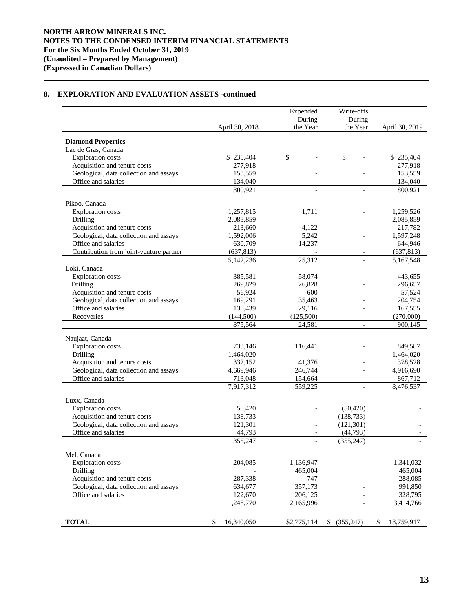# **8. EXPLORATION AND EVALUATION ASSETS -continued**

|                                                               |                       | Expended<br>During       | Write-offs<br>During     |                      |  |
|---------------------------------------------------------------|-----------------------|--------------------------|--------------------------|----------------------|--|
|                                                               | April 30, 2018        | the Year                 | the Year                 | April 30, 2019       |  |
| <b>Diamond Properties</b>                                     |                       |                          |                          |                      |  |
| Lac de Gras, Canada                                           |                       |                          |                          |                      |  |
| <b>Exploration</b> costs                                      | \$235,404             | \$                       | \$                       | \$235,404            |  |
| Acquisition and tenure costs                                  | 277,918               |                          |                          | 277,918              |  |
| Geological, data collection and assays                        | 153,559               |                          |                          | 153,559              |  |
| Office and salaries                                           | 134,040               |                          |                          | 134,040              |  |
|                                                               | 800,921               | $\overline{\phantom{a}}$ | $\overline{\phantom{a}}$ | 800,921              |  |
| Pikoo, Canada                                                 |                       |                          |                          |                      |  |
| <b>Exploration</b> costs                                      | 1,257,815             | 1,711                    |                          | 1,259,526            |  |
| Drilling                                                      | 2,085,859             |                          |                          | 2,085,859            |  |
| Acquisition and tenure costs                                  | 213,660               | 4,122                    |                          | 217,782              |  |
| Geological, data collection and assays                        | 1,592,006             | 5,242                    |                          | 1,597,248            |  |
| Office and salaries                                           | 630,709               | 14,237                   |                          | 644,946              |  |
| Contribution from joint-venture partner                       | (637, 813)            |                          |                          | (637, 813)           |  |
|                                                               | 5,142,236             | 25,312                   | $\overline{a}$           | 5,167,548            |  |
| Loki, Canada                                                  |                       |                          |                          |                      |  |
| <b>Exploration</b> costs                                      | 385.581               | 58,074                   |                          | 443,655              |  |
| Drilling                                                      | 269,829               | 26,828                   |                          | 296,657              |  |
| Acquisition and tenure costs                                  | 56,924                | 600                      |                          | 57,524               |  |
| Geological, data collection and assays                        | 169,291               | 35.463                   |                          | 204,754              |  |
| Office and salaries                                           | 138,439               | 29,116                   |                          | 167,555              |  |
| Recoveries                                                    | (144, 500)<br>875,564 | (125,500)<br>24,581      | $\overline{a}$<br>$\Box$ | (270,000)<br>900,145 |  |
|                                                               |                       |                          |                          |                      |  |
| Naujaat, Canada                                               |                       |                          |                          |                      |  |
| <b>Exploration</b> costs                                      | 733,146               | 116,441                  |                          | 849,587              |  |
| Drilling                                                      | 1,464,020             |                          |                          | 1,464,020            |  |
| Acquisition and tenure costs                                  | 337,152               | 41,376                   |                          | 378,528              |  |
| Geological, data collection and assays<br>Office and salaries | 4,669,946             | 246,744                  |                          | 4,916,690            |  |
|                                                               | 713,048<br>7,917,312  | 154,664<br>559,225       | $\overline{\phantom{a}}$ | 867,712<br>8,476,537 |  |
|                                                               |                       |                          |                          |                      |  |
| Luxx, Canada                                                  |                       |                          |                          |                      |  |
| <b>Exploration</b> costs                                      | 50,420                |                          | (50, 420)                |                      |  |
| Acquisition and tenure costs                                  | 138,733               |                          | (138.733)                |                      |  |
| Geological, data collection and assays<br>Office and salaries | 121,301               | $\overline{\phantom{a}}$ | (121, 301)               |                      |  |
|                                                               | 44,793<br>355,247     | $\overline{\phantom{a}}$ | (44, 793)<br>(355, 247)  |                      |  |
|                                                               |                       |                          |                          |                      |  |
| Mel, Canada                                                   |                       |                          |                          |                      |  |
| <b>Exploration</b> costs                                      | 204,085               | 1,136,947                |                          | 1,341,032            |  |
| Drilling                                                      |                       | 465,004                  |                          | 465,004              |  |
| Acquisition and tenure costs                                  | 287,338               | 747                      |                          | 288,085              |  |
| Geological, data collection and assays                        | 634,677               | 357,173                  |                          | 991,850              |  |
| Office and salaries                                           | 122,670               | 206,125                  |                          | 328,795              |  |
|                                                               | 1,248,770             | 2,165,996                |                          | 3,414,766            |  |
|                                                               |                       |                          |                          |                      |  |
| <b>TOTAL</b>                                                  | 16,340,050<br>\$      | \$2,775,114              | \$ (355,247)             | \$<br>18,759,917     |  |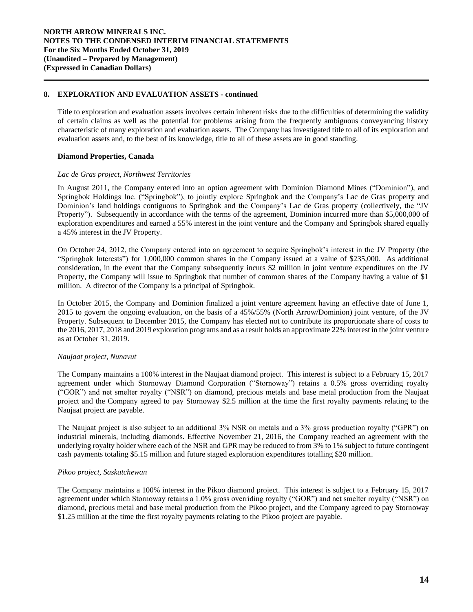## **8. EXPLORATION AND EVALUATION ASSETS - continued**

Title to exploration and evaluation assets involves certain inherent risks due to the difficulties of determining the validity of certain claims as well as the potential for problems arising from the frequently ambiguous conveyancing history characteristic of many exploration and evaluation assets. The Company has investigated title to all of its exploration and evaluation assets and, to the best of its knowledge, title to all of these assets are in good standing.

### **Diamond Properties, Canada**

### *Lac de Gras project, Northwest Territories*

In August 2011, the Company entered into an option agreement with Dominion Diamond Mines ("Dominion"), and Springbok Holdings Inc. ("Springbok"), to jointly explore Springbok and the Company's Lac de Gras property and Dominion's land holdings contiguous to Springbok and the Company's Lac de Gras property (collectively, the "JV Property"). Subsequently in accordance with the terms of the agreement, Dominion incurred more than \$5,000,000 of exploration expenditures and earned a 55% interest in the joint venture and the Company and Springbok shared equally a 45% interest in the JV Property.

On October 24, 2012, the Company entered into an agreement to acquire Springbok's interest in the JV Property (the "Springbok Interests") for 1,000,000 common shares in the Company issued at a value of \$235,000. As additional consideration, in the event that the Company subsequently incurs \$2 million in joint venture expenditures on the JV Property, the Company will issue to Springbok that number of common shares of the Company having a value of \$1 million. A director of the Company is a principal of Springbok.

In October 2015, the Company and Dominion finalized a joint venture agreement having an effective date of June 1, 2015 to govern the ongoing evaluation, on the basis of a 45%/55% (North Arrow/Dominion) joint venture, of the JV Property. Subsequent to December 2015, the Company has elected not to contribute its proportionate share of costs to the 2016, 2017, 2018 and 2019 exploration programs and as a result holds an approximate 22% interest in the joint venture as at October 31, 2019.

## *Naujaat project, Nunavut*

The Company maintains a 100% interest in the Naujaat diamond project. This interest is subject to a February 15, 2017 agreement under which Stornoway Diamond Corporation ("Stornoway") retains a 0.5% gross overriding royalty ("GOR") and net smelter royalty ("NSR") on diamond, precious metals and base metal production from the Naujaat project and the Company agreed to pay Stornoway \$2.5 million at the time the first royalty payments relating to the Naujaat project are payable.

The Naujaat project is also subject to an additional 3% NSR on metals and a 3% gross production royalty ("GPR") on industrial minerals, including diamonds. Effective November 21, 2016, the Company reached an agreement with the underlying royalty holder where each of the NSR and GPR may be reduced to from 3% to 1% subject to future contingent cash payments totaling \$5.15 million and future staged exploration expenditures totalling \$20 million.

## *Pikoo project, Saskatchewan*

The Company maintains a 100% interest in the Pikoo diamond project. This interest is subject to a February 15, 2017 agreement under which Stornoway retains a 1.0% gross overriding royalty ("GOR") and net smelter royalty ("NSR") on diamond, precious metal and base metal production from the Pikoo project, and the Company agreed to pay Stornoway \$1.25 million at the time the first royalty payments relating to the Pikoo project are payable.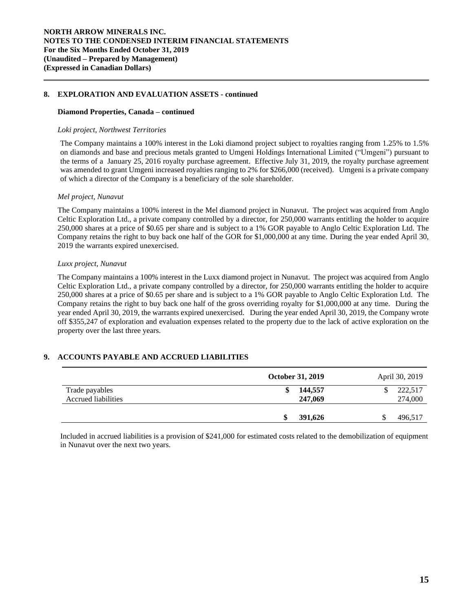## **8. EXPLORATION AND EVALUATION ASSETS - continued**

### **Diamond Properties, Canada – continued**

#### *Loki project, Northwest Territories*

The Company maintains a 100% interest in the Loki diamond project subject to royalties ranging from 1.25% to 1.5% on diamonds and base and precious metals granted to Umgeni Holdings International Limited ("Umgeni") pursuant to the terms of a January 25, 2016 royalty purchase agreement. Effective July 31, 2019, the royalty purchase agreement was amended to grant Umgeni increased royalties ranging to 2% for \$266,000 (received). Umgeni is a private company of which a director of the Company is a beneficiary of the sole shareholder.

#### *Mel project, Nunavut*

The Company maintains a 100% interest in the Mel diamond project in Nunavut. The project was acquired from Anglo Celtic Exploration Ltd., a private company controlled by a director, for 250,000 warrants entitling the holder to acquire 250,000 shares at a price of \$0.65 per share and is subject to a 1% GOR payable to Anglo Celtic Exploration Ltd. The Company retains the right to buy back one half of the GOR for \$1,000,000 at any time. During the year ended April 30, 2019 the warrants expired unexercised.

### *Luxx project, Nunavut*

The Company maintains a 100% interest in the Luxx diamond project in Nunavut. The project was acquired from Anglo Celtic Exploration Ltd., a private company controlled by a director, for 250,000 warrants entitling the holder to acquire 250,000 shares at a price of \$0.65 per share and is subject to a 1% GOR payable to Anglo Celtic Exploration Ltd. The Company retains the right to buy back one half of the gross overriding royalty for \$1,000,000 at any time. During the year ended April 30, 2019, the warrants expired unexercised. During the year ended April 30, 2019, the Company wrote off \$355,247 of exploration and evaluation expenses related to the property due to the lack of active exploration on the property over the last three years.

## **9. ACCOUNTS PAYABLE AND ACCRUED LIABILITIES**

|                                       | <b>October 31, 2019</b> |                    | April 30, 2019           |  |
|---------------------------------------|-------------------------|--------------------|--------------------------|--|
| Trade payables<br>Accrued liabilities | ъ                       | 144,557<br>247,069 | \$<br>222,517<br>274,000 |  |
|                                       |                         | 391,626            | 496,517                  |  |

Included in accrued liabilities is a provision of \$241,000 for estimated costs related to the demobilization of equipment in Nunavut over the next two years.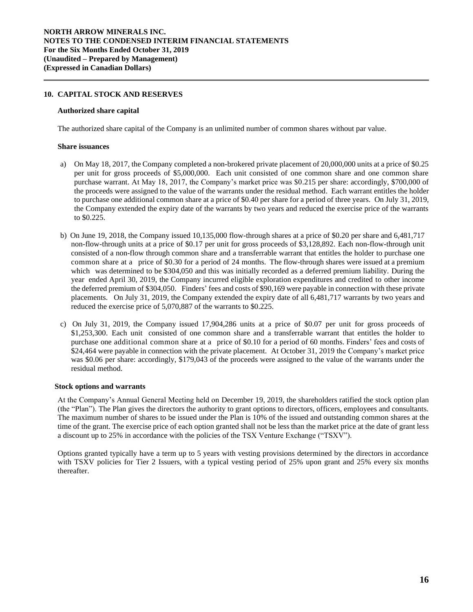## **10. CAPITAL STOCK AND RESERVES**

#### **Authorized share capital**

The authorized share capital of the Company is an unlimited number of common shares without par value.

#### **Share issuances**

- a) On May 18, 2017, the Company completed a non-brokered private placement of 20,000,000 units at a price of \$0.25 per unit for gross proceeds of \$5,000,000. Each unit consisted of one common share and one common share purchase warrant. At May 18, 2017, the Company's market price was \$0.215 per share: accordingly, \$700,000 of the proceeds were assigned to the value of the warrants under the residual method. Each warrant entitles the holder to purchase one additional common share at a price of \$0.40 per share for a period of three years. On July 31, 2019, the Company extended the expiry date of the warrants by two years and reduced the exercise price of the warrants to \$0.225.
- b) On June 19, 2018, the Company issued 10,135,000 flow-through shares at a price of \$0.20 per share and 6,481,717 non-flow-through units at a price of \$0.17 per unit for gross proceeds of \$3,128,892. Each non-flow-through unit consisted of a non-flow through common share and a transferrable warrant that entitles the holder to purchase one common share at a price of \$0.30 for a period of 24 months. The flow-through shares were issued at a premium which was determined to be \$304,050 and this was initially recorded as a deferred premium liability. During the year ended April 30, 2019, the Company incurred eligible exploration expenditures and credited to other income the deferred premium of \$304,050. Finders' fees and costs of \$90,169 were payable in connection with these private placements. On July 31, 2019, the Company extended the expiry date of all 6,481,717 warrants by two years and reduced the exercise price of 5,070,887 of the warrants to \$0.225.
- c) On July 31, 2019, the Company issued 17,904,286 units at a price of \$0.07 per unit for gross proceeds of \$1,253,300. Each unit consisted of one common share and a transferrable warrant that entitles the holder to purchase one additional common share at a price of \$0.10 for a period of 60 months. Finders' fees and costs of \$24,464 were payable in connection with the private placement. At October 31, 2019 the Company's market price was \$0.06 per share: accordingly, \$179,043 of the proceeds were assigned to the value of the warrants under the residual method.

### **Stock options and warrants**

At the Company's Annual General Meeting held on December 19, 2019, the shareholders ratified the stock option plan (the "Plan"). The Plan gives the directors the authority to grant options to directors, officers, employees and consultants. The maximum number of shares to be issued under the Plan is 10% of the issued and outstanding common shares at the time of the grant. The exercise price of each option granted shall not be less than the market price at the date of grant less a discount up to 25% in accordance with the policies of the TSX Venture Exchange ("TSXV").

Options granted typically have a term up to 5 years with vesting provisions determined by the directors in accordance with TSXV policies for Tier 2 Issuers, with a typical vesting period of 25% upon grant and 25% every six months thereafter.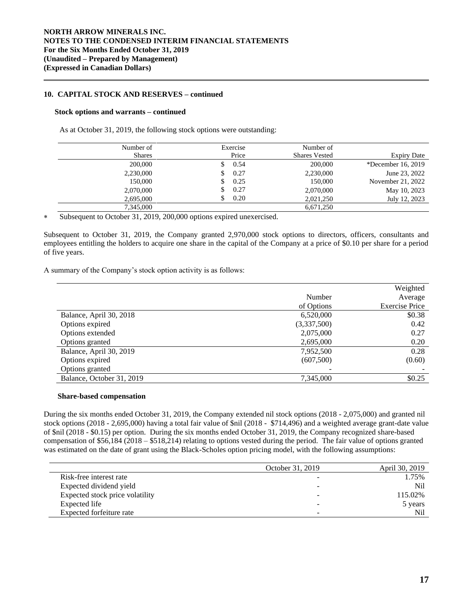## **10. CAPITAL STOCK AND RESERVES – continued**

### **Stock options and warrants – continued**

As at October 31, 2019, the following stock options were outstanding:

| Number of     | Exercise | Number of            |                    |
|---------------|----------|----------------------|--------------------|
| <b>Shares</b> | Price    | <b>Shares Vested</b> | <b>Expiry Date</b> |
| 200,000       | 0.54     | 200,000              | *December 16, 2019 |
| 2,230,000     | 0.27     | 2,230,000            | June 23, 2022      |
| 150,000       | 0.25     | 150,000              | November 21, 2022  |
| 2,070,000     | 0.27     | 2,070,000            | May 10, 2023       |
| 2,695,000     | 0.20     | 2,021,250            | July 12, 2023      |
| 7,345,000     |          | 6,671,250            |                    |

Subsequent to October 31, 2019, 200,000 options expired unexercised.

Subsequent to October 31, 2019, the Company granted 2,970,000 stock options to directors, officers, consultants and employees entitling the holders to acquire one share in the capital of the Company at a price of \$0.10 per share for a period of five years.

A summary of the Company's stock option activity is as follows:

|                           |             | Weighted              |
|---------------------------|-------------|-----------------------|
|                           | Number      | Average               |
|                           | of Options  | <b>Exercise Price</b> |
| Balance, April 30, 2018   | 6,520,000   | \$0.38                |
| Options expired           | (3,337,500) | 0.42                  |
| Options extended          | 2,075,000   | 0.27                  |
| Options granted           | 2,695,000   | 0.20                  |
| Balance, April 30, 2019   | 7,952,500   | 0.28                  |
| Options expired           | (607,500)   | (0.60)                |
| Options granted           |             |                       |
| Balance, October 31, 2019 | 7,345,000   | \$0.25                |

### **Share-based compensation**

During the six months ended October 31, 2019, the Company extended nil stock options (2018 - 2,075,000) and granted nil stock options (2018 - 2,695,000) having a total fair value of \$nil (2018 - \$714,496) and a weighted average grant-date value of \$nil (2018 - \$0.15) per option. During the six months ended October 31, 2019, the Company recognized share-based compensation of \$56,184 (2018 – \$518,214) relating to options vested during the period. The fair value of options granted was estimated on the date of grant using the Black-Scholes option pricing model, with the following assumptions:

|                                 | October 31, 2019 | April 30, 2019 |
|---------------------------------|------------------|----------------|
| Risk-free interest rate         |                  | 1.75%          |
| Expected dividend yield         |                  | Nil            |
| Expected stock price volatility |                  | 115.02%        |
| Expected life                   | -                | 5 years        |
| Expected forfeiture rate        | -                | Nil            |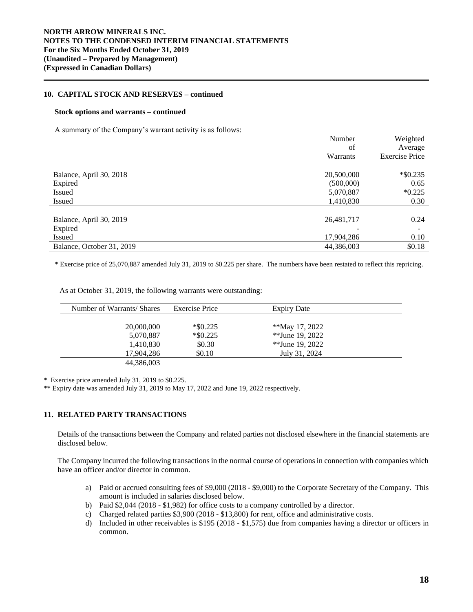## **10. CAPITAL STOCK AND RESERVES – continued**

#### **Stock options and warrants – continued**

A summary of the Company's warrant activity is as follows:

|                           | Number     | Weighted              |
|---------------------------|------------|-----------------------|
|                           | of         | Average               |
|                           | Warrants   | <b>Exercise Price</b> |
|                           |            |                       |
| Balance, April 30, 2018   | 20,500,000 | $*$ \$0.235           |
| Expired                   | (500,000)  | 0.65                  |
| Issued                    | 5,070,887  | $*0.225$              |
| <b>Issued</b>             | 1,410,830  | 0.30                  |
|                           |            |                       |
| Balance, April 30, 2019   | 26,481,717 | 0.24                  |
| Expired                   |            |                       |
| <b>Issued</b>             | 17,904,286 | 0.10                  |
| Balance, October 31, 2019 | 44,386,003 | \$0.18                |

\* Exercise price of 25,070,887 amended July 31, 2019 to \$0.225 per share. The numbers have been restated to reflect this repricing.

| Number of Warrants/ Shares | <b>Exercise Price</b> | <b>Expiry Date</b> |  |
|----------------------------|-----------------------|--------------------|--|
|                            |                       |                    |  |
| 20,000,000                 | $*$ \$0.225           | **May 17, 2022     |  |
| 5,070,887                  | $*$ \$0.225           | **June 19, 2022    |  |
| 1,410,830                  | \$0.30                | **June 19, 2022    |  |
| 17,904,286                 | \$0.10                | July 31, 2024      |  |
| 44,386,003                 |                       |                    |  |

As at October 31, 2019, the following warrants were outstanding:

\* Exercise price amended July 31, 2019 to \$0.225.

\*\* Expiry date was amended July 31, 2019 to May 17, 2022 and June 19, 2022 respectively.

## **11. RELATED PARTY TRANSACTIONS**

Details of the transactions between the Company and related parties not disclosed elsewhere in the financial statements are disclosed below.

The Company incurred the following transactions in the normal course of operations in connection with companies which have an officer and/or director in common.

- a) Paid or accrued consulting fees of \$9,000 (2018 \$9,000) to the Corporate Secretary of the Company. This amount is included in salaries disclosed below.
- b) Paid \$2,044 (2018 \$1,982) for office costs to a company controlled by a director.
- c) Charged related parties \$3,900 (2018 \$13,800) for rent, office and administrative costs.
- d) Included in other receivables is \$195 (2018 \$1,575) due from companies having a director or officers in common.